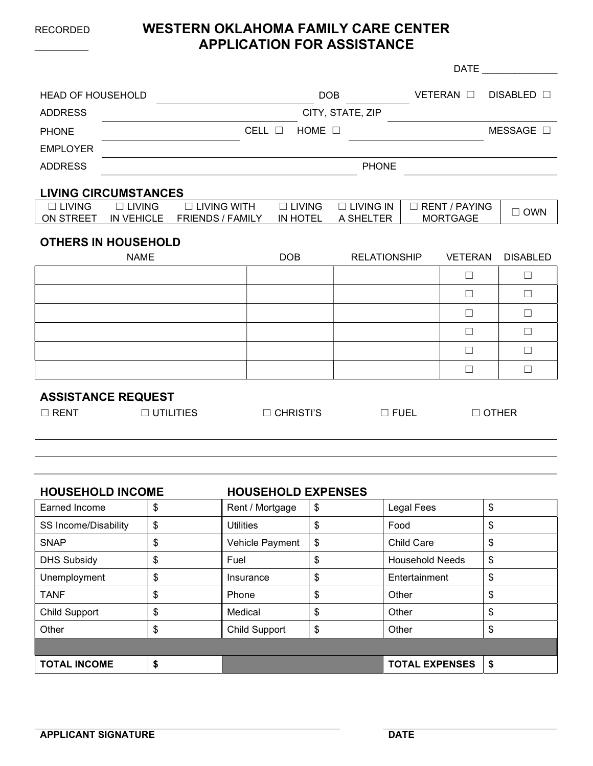# RECORDED WESTERN OKLAHOMA FAMILY CARE CENTER APPLICATION FOR ASSISTANCE

|                                 |                                    |                                               |  |                                  |                               | <b>DATE</b>     |                                    |                 |
|---------------------------------|------------------------------------|-----------------------------------------------|--|----------------------------------|-------------------------------|-----------------|------------------------------------|-----------------|
| <b>HEAD OF HOUSEHOLD</b>        |                                    | <b>DOB</b>                                    |  |                                  | VETERAN O                     | DISABLED $\Box$ |                                    |                 |
| <b>ADDRESS</b>                  | CITY, STATE, ZIP                   |                                               |  |                                  |                               |                 |                                    |                 |
| <b>PHONE</b>                    |                                    |                                               |  | CELL $\Box$<br>HOME $\square$    |                               |                 |                                    | MESSAGE $\Box$  |
| <b>EMPLOYER</b>                 |                                    |                                               |  |                                  |                               |                 |                                    |                 |
| <b>ADDRESS</b>                  |                                    | <b>PHONE</b>                                  |  |                                  |                               |                 |                                    |                 |
|                                 | <b>LIVING CIRCUMSTANCES</b>        |                                               |  |                                  |                               |                 |                                    |                 |
| $\Box$ LIVING<br>ON STREET      | $\Box$ LIVING<br><b>IN VEHICLE</b> | $\Box$ LIVING WITH<br><b>FRIENDS / FAMILY</b> |  | $\Box$ LIVING<br><b>IN HOTEL</b> | $\Box$ LIVING IN<br>A SHELTER |                 | □ RENT / PAYING<br><b>MORTGAGE</b> | $\Box$ OWN      |
|                                 | <b>OTHERS IN HOUSEHOLD</b>         |                                               |  |                                  |                               |                 |                                    |                 |
|                                 | <b>NAME</b>                        |                                               |  | <b>DOB</b>                       | <b>RELATIONSHIP</b>           |                 | <b>VETERAN</b>                     | <b>DISABLED</b> |
|                                 |                                    |                                               |  |                                  |                               |                 | $\Box$                             | $\Box$          |
|                                 |                                    |                                               |  |                                  |                               |                 | $\Box$                             | $\Box$          |
|                                 |                                    |                                               |  |                                  |                               |                 | Ш                                  | $\Box$          |
|                                 |                                    |                                               |  |                                  |                               |                 | П                                  | $\Box$          |
|                                 |                                    |                                               |  |                                  |                               |                 | $\Box$                             | $\Box$          |
|                                 |                                    |                                               |  |                                  |                               |                 | П                                  | $\Box$          |
| <b>ASSISTANCE REQUEST</b>       |                                    |                                               |  |                                  |                               |                 |                                    |                 |
| $\Box$ RENT<br>$\Box$ UTILITIES |                                    | $\Box$ CHRISTI'S                              |  | $\Box$ FUEL                      |                               | $\Box$ OTHER    |                                    |                 |
|                                 |                                    |                                               |  |                                  |                               |                 |                                    |                 |
|                                 |                                    |                                               |  |                                  |                               |                 |                                    |                 |
|                                 |                                    |                                               |  |                                  |                               |                 |                                    |                 |

| <b>HOUSEHOLD INCOME</b>     | <b>HOUSEHOLD EXPENSES</b>  |                              |    |
|-----------------------------|----------------------------|------------------------------|----|
| Earned Income               | \$<br>Rent / Mortgage      | \$<br><b>Legal Fees</b>      | \$ |
| <b>SS Income/Disability</b> | \$<br><b>Utilities</b>     | \$<br>Food                   | \$ |
| <b>SNAP</b>                 | \$<br>Vehicle Payment      | \$<br><b>Child Care</b>      | \$ |
| <b>DHS Subsidy</b>          | \$<br>Fuel                 | \$<br><b>Household Needs</b> | \$ |
| Unemployment                | \$<br>Insurance            | \$<br>Entertainment          | \$ |
| <b>TANF</b>                 | \$<br>Phone                | \$<br>Other                  | \$ |
| <b>Child Support</b>        | \$<br>Medical              | \$<br>Other                  | \$ |
| Other                       | \$<br><b>Child Support</b> | \$<br>Other                  | \$ |
|                             |                            |                              |    |
| <b>TOTAL INCOME</b>         | \$                         | <b>TOTAL EXPENSES</b>        | S  |